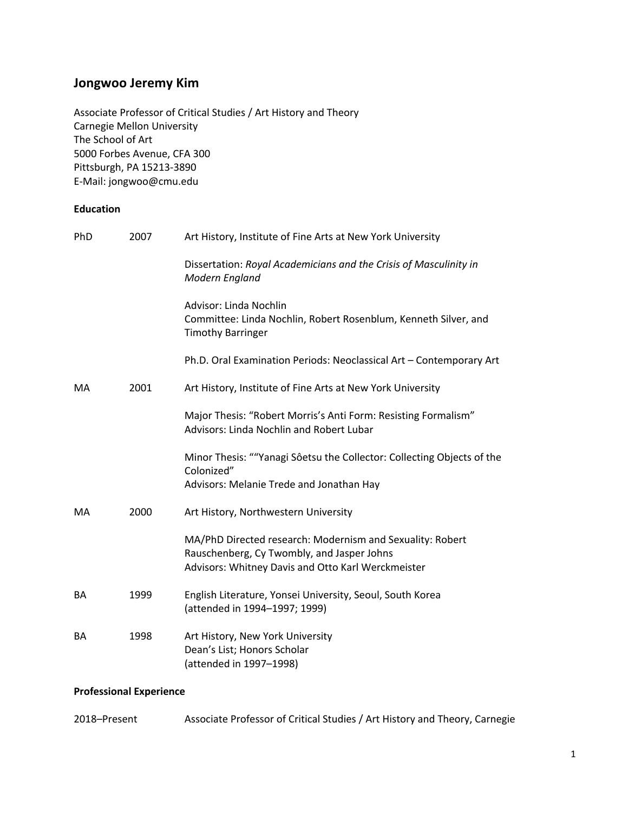# **Jongwoo Jeremy Kim**

Associate Professor of Critical Studies / Art History and Theory Carnegie Mellon University The School of Art 5000 Forbes Avenue, CFA 300 Pittsburgh, PA 15213-3890 E-Mail: jongwoo@cmu.edu

## **Education**

| PhD | 2007 | Art History, Institute of Fine Arts at New York University                                                                                                    |
|-----|------|---------------------------------------------------------------------------------------------------------------------------------------------------------------|
|     |      | Dissertation: Royal Academicians and the Crisis of Masculinity in<br>Modern England                                                                           |
|     |      | Advisor: Linda Nochlin<br>Committee: Linda Nochlin, Robert Rosenblum, Kenneth Silver, and<br><b>Timothy Barringer</b>                                         |
|     |      | Ph.D. Oral Examination Periods: Neoclassical Art - Contemporary Art                                                                                           |
| MA  | 2001 | Art History, Institute of Fine Arts at New York University                                                                                                    |
|     |      | Major Thesis: "Robert Morris's Anti Form: Resisting Formalism"<br><b>Advisors: Linda Nochlin and Robert Lubar</b>                                             |
|     |      | Minor Thesis: ""Yanagi Sôetsu the Collector: Collecting Objects of the<br>Colonized"<br>Advisors: Melanie Trede and Jonathan Hay                              |
| MA  | 2000 | Art History, Northwestern University                                                                                                                          |
|     |      | MA/PhD Directed research: Modernism and Sexuality: Robert<br>Rauschenberg, Cy Twombly, and Jasper Johns<br>Advisors: Whitney Davis and Otto Karl Werckmeister |
| BA  | 1999 | English Literature, Yonsei University, Seoul, South Korea<br>(attended in 1994-1997; 1999)                                                                    |
| BA  | 1998 | Art History, New York University<br>Dean's List; Honors Scholar<br>(attended in 1997-1998)                                                                    |

## **Professional Experience**

| 2018–Present | Associate Professor of Critical Studies / Art History and Theory, Carnegie |  |
|--------------|----------------------------------------------------------------------------|--|
|--------------|----------------------------------------------------------------------------|--|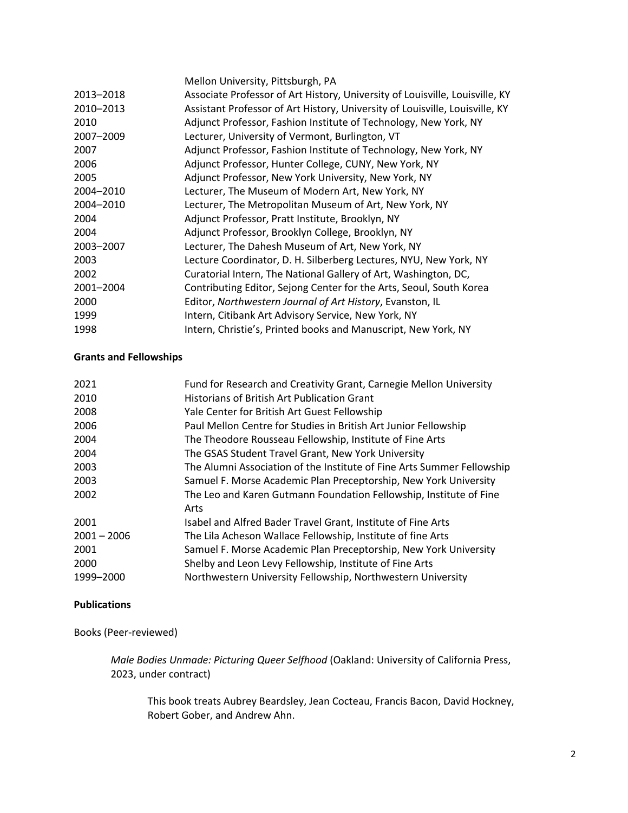|           | Mellon University, Pittsburgh, PA                                            |
|-----------|------------------------------------------------------------------------------|
| 2013-2018 | Associate Professor of Art History, University of Louisville, Louisville, KY |
| 2010-2013 | Assistant Professor of Art History, University of Louisville, Louisville, KY |
| 2010      | Adjunct Professor, Fashion Institute of Technology, New York, NY             |
| 2007-2009 | Lecturer, University of Vermont, Burlington, VT                              |
| 2007      | Adjunct Professor, Fashion Institute of Technology, New York, NY             |
| 2006      | Adjunct Professor, Hunter College, CUNY, New York, NY                        |
| 2005      | Adjunct Professor, New York University, New York, NY                         |
| 2004-2010 | Lecturer, The Museum of Modern Art, New York, NY                             |
| 2004-2010 | Lecturer, The Metropolitan Museum of Art, New York, NY                       |
| 2004      | Adjunct Professor, Pratt Institute, Brooklyn, NY                             |
| 2004      | Adjunct Professor, Brooklyn College, Brooklyn, NY                            |
| 2003-2007 | Lecturer, The Dahesh Museum of Art, New York, NY                             |
| 2003      | Lecture Coordinator, D. H. Silberberg Lectures, NYU, New York, NY            |
| 2002      | Curatorial Intern, The National Gallery of Art, Washington, DC,              |
| 2001-2004 | Contributing Editor, Sejong Center for the Arts, Seoul, South Korea          |
| 2000      | Editor, Northwestern Journal of Art History, Evanston, IL                    |
| 1999      | Intern, Citibank Art Advisory Service, New York, NY                          |
| 1998      | Intern, Christie's, Printed books and Manuscript, New York, NY               |

## **Grants and Fellowships**

| 2021          | Fund for Research and Creativity Grant, Carnegie Mellon University     |
|---------------|------------------------------------------------------------------------|
| 2010          | Historians of British Art Publication Grant                            |
| 2008          | Yale Center for British Art Guest Fellowship                           |
| 2006          | Paul Mellon Centre for Studies in British Art Junior Fellowship        |
| 2004          | The Theodore Rousseau Fellowship, Institute of Fine Arts               |
| 2004          | The GSAS Student Travel Grant, New York University                     |
| 2003          | The Alumni Association of the Institute of Fine Arts Summer Fellowship |
| 2003          | Samuel F. Morse Academic Plan Preceptorship, New York University       |
| 2002          | The Leo and Karen Gutmann Foundation Fellowship, Institute of Fine     |
|               | Arts                                                                   |
| 2001          | Isabel and Alfred Bader Travel Grant, Institute of Fine Arts           |
| $2001 - 2006$ | The Lila Acheson Wallace Fellowship, Institute of fine Arts            |
| 2001          | Samuel F. Morse Academic Plan Preceptorship, New York University       |
| 2000          | Shelby and Leon Levy Fellowship, Institute of Fine Arts                |
| 1999-2000     | Northwestern University Fellowship, Northwestern University            |

## **Publications**

Books (Peer-reviewed)

*Male Bodies Unmade: Picturing Queer Selfhood* (Oakland: University of California Press, 2023, under contract)

This book treats Aubrey Beardsley, Jean Cocteau, Francis Bacon, David Hockney, Robert Gober, and Andrew Ahn.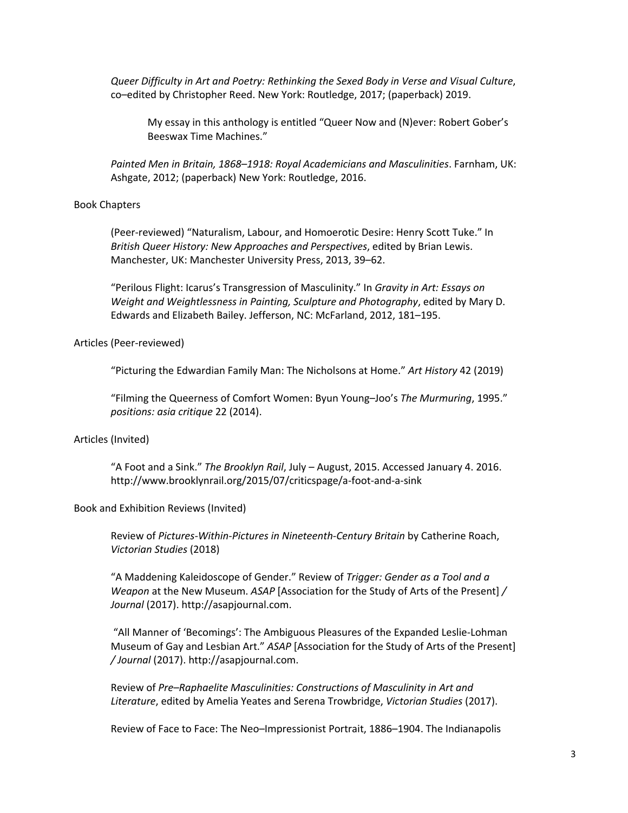*Queer Difficulty in Art and Poetry: Rethinking the Sexed Body in Verse and Visual Culture*, co–edited by Christopher Reed. New York: Routledge, 2017; (paperback) 2019.

My essay in this anthology is entitled "Queer Now and (N)ever: Robert Gober's Beeswax Time Machines."

*Painted Men in Britain, 1868–1918: Royal Academicians and Masculinities*. Farnham, UK: Ashgate, 2012; (paperback) New York: Routledge, 2016.

#### Book Chapters

(Peer-reviewed) "Naturalism, Labour, and Homoerotic Desire: Henry Scott Tuke." In *British Queer History: New Approaches and Perspectives*, edited by Brian Lewis. Manchester, UK: Manchester University Press, 2013, 39–62.

"Perilous Flight: Icarus's Transgression of Masculinity." In *Gravity in Art: Essays on Weight and Weightlessness in Painting, Sculpture and Photography*, edited by Mary D. Edwards and Elizabeth Bailey. Jefferson, NC: McFarland, 2012, 181–195.

Articles (Peer-reviewed)

"Picturing the Edwardian Family Man: The Nicholsons at Home." *Art History* 42 (2019)

"Filming the Queerness of Comfort Women: Byun Young–Joo's *The Murmuring*, 1995." *positions: asia critique* 22 (2014).

#### Articles (Invited)

"A Foot and a Sink." *The Brooklyn Rail*, July – August, 2015. Accessed January 4. 2016. http://www.brooklynrail.org/2015/07/criticspage/a-foot-and-a-sink

Book and Exhibition Reviews (Invited)

Review of *Pictures-Within-Pictures in Nineteenth-Century Britain* by Catherine Roach, *Victorian Studies* (2018)

"A Maddening Kaleidoscope of Gender." Review of *Trigger: Gender as a Tool and a Weapon* at the New Museum. *ASAP* [Association for the Study of Arts of the Present] */ Journal* (2017). http://asapjournal.com.

"All Manner of 'Becomings': The Ambiguous Pleasures of the Expanded Leslie-Lohman Museum of Gay and Lesbian Art." *ASAP* [Association for the Study of Arts of the Present] */ Journal* (2017). http://asapjournal.com.

Review of *Pre–Raphaelite Masculinities: Constructions of Masculinity in Art and Literature*, edited by Amelia Yeates and Serena Trowbridge, *Victorian Studies* (2017).

Review of Face to Face: The Neo–Impressionist Portrait, 1886–1904. The Indianapolis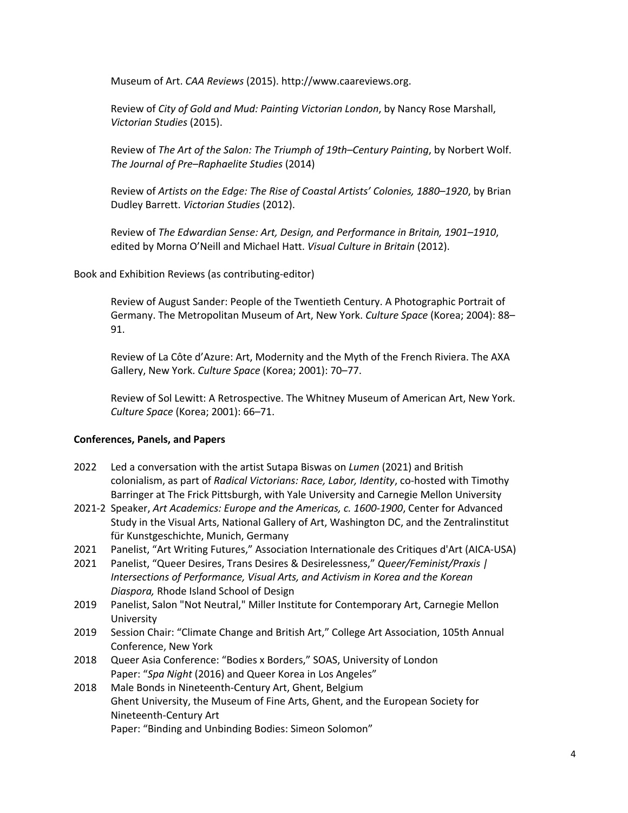Museum of Art. *CAA Reviews* (2015). http://www.caareviews.org.

Review of *City of Gold and Mud: Painting Victorian London*, by Nancy Rose Marshall, *Victorian Studies* (2015).

Review of *The Art of the Salon: The Triumph of 19th–Century Painting*, by Norbert Wolf. *The Journal of Pre–Raphaelite Studies* (2014)

Review of *Artists on the Edge: The Rise of Coastal Artists' Colonies, 1880–1920*, by Brian Dudley Barrett. *Victorian Studies* (2012).

Review of *The Edwardian Sense: Art, Design, and Performance in Britain, 1901–1910*, edited by Morna O'Neill and Michael Hatt. *Visual Culture in Britain* (2012).

Book and Exhibition Reviews (as contributing-editor)

Review of August Sander: People of the Twentieth Century. A Photographic Portrait of Germany. The Metropolitan Museum of Art, New York. *Culture Space* (Korea; 2004): 88– 91.

Review of La Côte d'Azure: Art, Modernity and the Myth of the French Riviera. The AXA Gallery, New York. *Culture Space* (Korea; 2001): 70–77.

Review of Sol Lewitt: A Retrospective. The Whitney Museum of American Art, New York. *Culture Space* (Korea; 2001): 66–71.

#### **Conferences, Panels, and Papers**

- 2022 Led a conversation with the artist Sutapa Biswas on *Lumen* (2021) and British colonialism, as part of *Radical Victorians: Race, Labor, Identity*, co-hosted with Timothy Barringer at The Frick Pittsburgh, with Yale University and Carnegie Mellon University
- 2021-2 Speaker, *Art Academics: Europe and the Americas, c. 1600-1900*, Center for Advanced Study in the Visual Arts, National Gallery of Art, Washington DC, and the Zentralinstitut für Kunstgeschichte, Munich, Germany
- 2021 Panelist, "Art Writing Futures," Association Internationale des Critiques d'Art (AICA-USA)
- 2021 Panelist, "Queer Desires, Trans Desires & Desirelessness," *Queer/Feminist/Praxis | Intersections of Performance, Visual Arts, and Activism in Korea and the Korean Diaspora,* Rhode Island School of Design
- 2019 Panelist, Salon "Not Neutral," Miller Institute for Contemporary Art, Carnegie Mellon University
- 2019 Session Chair: "Climate Change and British Art," College Art Association, 105th Annual Conference, New York
- 2018 Queer Asia Conference: "Bodies x Borders," SOAS, University of London Paper: "*Spa Night* (2016) and Queer Korea in Los Angeles"
- 2018 Male Bonds in Nineteenth-Century Art, Ghent, Belgium Ghent University, the Museum of Fine Arts, Ghent, and the European Society for Nineteenth-Century Art Paper: "Binding and Unbinding Bodies: Simeon Solomon"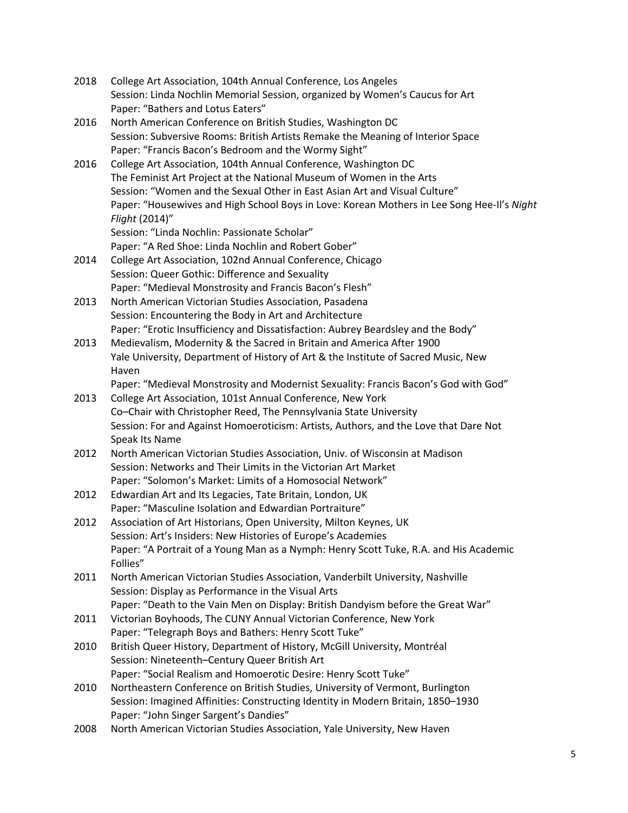- 2018 College Art Association, 104th Annual Conference, Los Angeles Session: Linda Nochlin Memorial Session, organized by Women's Caucus for Art Paper: "Bathers and Lotus Eaters"
- 2016 North American Conference on British Studies, Washington DC Session: Subversive Rooms: British Artists Remake the Meaning of Interior Space Paper: "Francis Bacon's Bedroom and the Wormy Sight"
- 2016 College Art Association, 104th Annual Conference, Washington DC The Feminist Art Project at the National Museum of Women in the Arts Session: "Women and the Sexual Other in East Asian Art and Visual Culture" Paper: "Housewives and High School Boys in Love: Korean Mothers in Lee Song Hee-Il's *Night Flight* (2014)"

Session: "Linda Nochlin: Passionate Scholar"

- Paper: "A Red Shoe: Linda Nochlin and Robert Gober"
- 2014 College Art Association, 102nd Annual Conference, Chicago Session: Queer Gothic: Difference and Sexuality Paper: "Medieval Monstrosity and Francis Bacon's Flesh"
- 2013 North American Victorian Studies Association, Pasadena Session: Encountering the Body in Art and Architecture Paper: "Erotic Insufficiency and Dissatisfaction: Aubrey Beardsley and the Body"
- 2013 Medievalism, Modernity & the Sacred in Britain and America After 1900 Yale University, Department of History of Art & the Institute of Sacred Music, New Haven
	- Paper: "Medieval Monstrosity and Modernist Sexuality: Francis Bacon's God with God"
- 2013 College Art Association, 101st Annual Conference, New York Co–Chair with Christopher Reed, The Pennsylvania State University Session: For and Against Homoeroticism: Artists, Authors, and the Love that Dare Not Speak Its Name
- 2012 North American Victorian Studies Association, Univ. of Wisconsin at Madison Session: Networks and Their Limits in the Victorian Art Market Paper: "Solomon's Market: Limits of a Homosocial Network"
- 2012 Edwardian Art and Its Legacies, Tate Britain, London, UK Paper: "Masculine Isolation and Edwardian Portraiture"
- 2012 Association of Art Historians, Open University, Milton Keynes, UK Session: Art's Insiders: New Histories of Europe's Academies Paper: "A Portrait of a Young Man as a Nymph: Henry Scott Tuke, R.A. and His Academic Follies"
- 2011 North American Victorian Studies Association, Vanderbilt University, Nashville Session: Display as Performance in the Visual Arts Paper: "Death to the Vain Men on Display: British Dandyism before the Great War"
- 2011 Victorian Boyhoods, The CUNY Annual Victorian Conference, New York Paper: "Telegraph Boys and Bathers: Henry Scott Tuke"
- 2010 British Queer History, Department of History, McGill University, Montréal Session: Nineteenth–Century Queer British Art Paper: "Social Realism and Homoerotic Desire: Henry Scott Tuke"
- 2010 Northeastern Conference on British Studies, University of Vermont, Burlington Session: Imagined Affinities: Constructing Identity in Modern Britain, 1850–1930 Paper: "John Singer Sargent's Dandies"
- 2008 North American Victorian Studies Association, Yale University, New Haven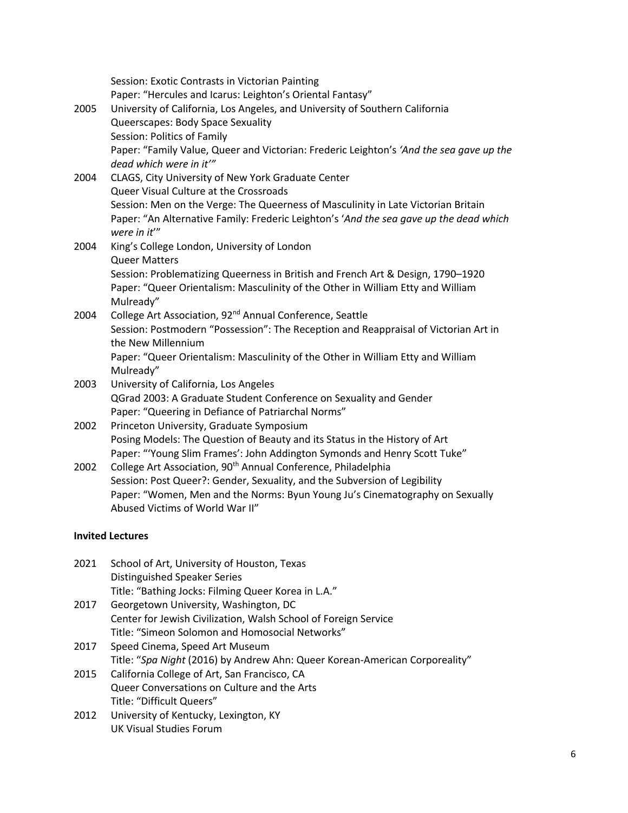| 2005<br>2004            | Session: Exotic Contrasts in Victorian Painting<br>Paper: "Hercules and Icarus: Leighton's Oriental Fantasy"<br>University of California, Los Angeles, and University of Southern California<br>Queerscapes: Body Space Sexuality<br>Session: Politics of Family<br>Paper: "Family Value, Queer and Victorian: Frederic Leighton's 'And the sea gave up the<br>dead which were in it"<br>CLAGS, City University of New York Graduate Center |  |
|-------------------------|---------------------------------------------------------------------------------------------------------------------------------------------------------------------------------------------------------------------------------------------------------------------------------------------------------------------------------------------------------------------------------------------------------------------------------------------|--|
|                         | Queer Visual Culture at the Crossroads<br>Session: Men on the Verge: The Queerness of Masculinity in Late Victorian Britain<br>Paper: "An Alternative Family: Frederic Leighton's 'And the sea gave up the dead which<br>were in it"                                                                                                                                                                                                        |  |
| 2004                    | King's College London, University of London<br><b>Queer Matters</b><br>Session: Problematizing Queerness in British and French Art & Design, 1790-1920<br>Paper: "Queer Orientalism: Masculinity of the Other in William Etty and William<br>Mulready"                                                                                                                                                                                      |  |
| 2004                    | College Art Association, 92 <sup>nd</sup> Annual Conference, Seattle<br>Session: Postmodern "Possession": The Reception and Reappraisal of Victorian Art in<br>the New Millennium<br>Paper: "Queer Orientalism: Masculinity of the Other in William Etty and William<br>Mulready"                                                                                                                                                           |  |
| 2003                    | University of California, Los Angeles<br>QGrad 2003: A Graduate Student Conference on Sexuality and Gender<br>Paper: "Queering in Defiance of Patriarchal Norms"                                                                                                                                                                                                                                                                            |  |
| 2002                    | Princeton University, Graduate Symposium<br>Posing Models: The Question of Beauty and its Status in the History of Art<br>Paper: "Young Slim Frames': John Addington Symonds and Henry Scott Tuke"                                                                                                                                                                                                                                          |  |
| 2002                    | College Art Association, 90 <sup>th</sup> Annual Conference, Philadelphia<br>Session: Post Queer?: Gender, Sexuality, and the Subversion of Legibility<br>Paper: "Women, Men and the Norms: Byun Young Ju's Cinematography on Sexually<br>Abused Victims of World War II"                                                                                                                                                                   |  |
| <b>Invited Lectures</b> |                                                                                                                                                                                                                                                                                                                                                                                                                                             |  |

- 2021 School of Art, University of Houston, Texas Distinguished Speaker Series Title: "Bathing Jocks: Filming Queer Korea in L.A." 2017 Georgetown University, Washington, DC
- Center for Jewish Civilization, Walsh School of Foreign Service Title: "Simeon Solomon and Homosocial Networks"
- 2017 Speed Cinema, Speed Art Museum Title: "*Spa Night* (2016) by Andrew Ahn: Queer Korean-American Corporeality"
- 2015 California College of Art, San Francisco, CA Queer Conversations on Culture and the Arts Title: "Difficult Queers"
- 2012 University of Kentucky, Lexington, KY UK Visual Studies Forum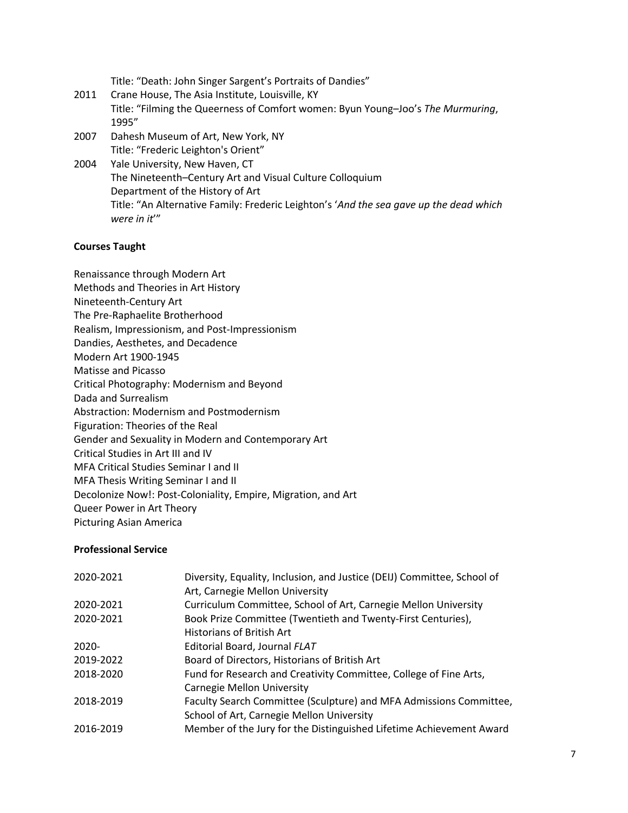Title: "Death: John Singer Sargent's Portraits of Dandies"

- 2011 Crane House, The Asia Institute, Louisville, KY Title: "Filming the Queerness of Comfort women: Byun Young–Joo's *The Murmuring*, 1995"
- 2007 Dahesh Museum of Art, New York, NY Title: "Frederic Leighton's Orient"
- 2004 Yale University, New Haven, CT The Nineteenth–Century Art and Visual Culture Colloquium Department of the History of Art Title: "An Alternative Family: Frederic Leighton's '*And the sea gave up the dead which were in it*'"

## **Courses Taught**

Renaissance through Modern Art Methods and Theories in Art History Nineteenth-Century Art The Pre-Raphaelite Brotherhood Realism, Impressionism, and Post-Impressionism Dandies, Aesthetes, and Decadence Modern Art 1900-1945 Matisse and Picasso Critical Photography: Modernism and Beyond Dada and Surrealism Abstraction: Modernism and Postmodernism Figuration: Theories of the Real Gender and Sexuality in Modern and Contemporary Art Critical Studies in Art III and IV MFA Critical Studies Seminar I and II MFA Thesis Writing Seminar I and II Decolonize Now!: Post-Coloniality, Empire, Migration, and Art Queer Power in Art Theory Picturing Asian America

### **Professional Service**

| 2020-2021 | Diversity, Equality, Inclusion, and Justice (DEIJ) Committee, School of |
|-----------|-------------------------------------------------------------------------|
|           | Art, Carnegie Mellon University                                         |
| 2020-2021 | Curriculum Committee, School of Art, Carnegie Mellon University         |
| 2020-2021 | Book Prize Committee (Twentieth and Twenty-First Centuries),            |
|           | Historians of British Art                                               |
| $2020 -$  | Editorial Board, Journal FLAT                                           |
| 2019-2022 | Board of Directors, Historians of British Art                           |
| 2018-2020 | Fund for Research and Creativity Committee, College of Fine Arts,       |
|           | Carnegie Mellon University                                              |
| 2018-2019 | Faculty Search Committee (Sculpture) and MFA Admissions Committee,      |
|           | School of Art, Carnegie Mellon University                               |
| 2016-2019 | Member of the Jury for the Distinguished Lifetime Achievement Award     |